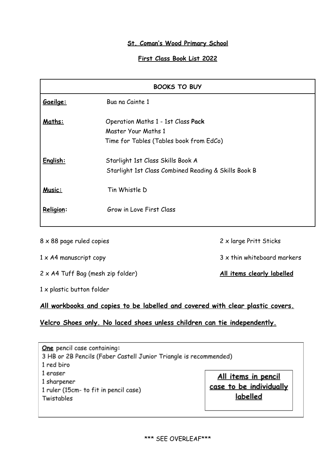#### **St. Coman's Wood Primary School**

## **First Class Book List 2022**

| <b>BOOKS TO BUY</b> |                                                      |
|---------------------|------------------------------------------------------|
| Gaeilge:            | Bua na Cainte 1                                      |
| Maths:              | Operation Maths 1 - 1st Class Pack                   |
|                     | Master Your Maths 1                                  |
|                     | Time for Tables (Tables book from EdCo)              |
| English:            | Starlight 1st Class Skills Book A                    |
|                     | Starlight 1st Class Combined Reading & Skills Book B |
| Music:              | Tin Whistle D                                        |
| Religion:           | Grow in Love First Class                             |
|                     |                                                      |

 x 88 page ruled copies 2 x large Pritt Sticks x A4 manuscript copy 3 x thin whiteboard markers x A4 Tuff Bag (mesh zip folder) **All items clearly labelled** x plastic button folder

#### **All workbooks and copies to be labelled and covered with clear plastic covers.**

## **Velcro Shoes only. No laced shoes unless children can tie independently.**

One pencil case containing: 3 HB or 2B Pencils (Faber Castell Junior Triangle is recommended) 1 red biro 1 eraser All items in pencil 1 sharpener case to be individually 1 ruler (15cm- to fit in pencil case) labelled Twistables